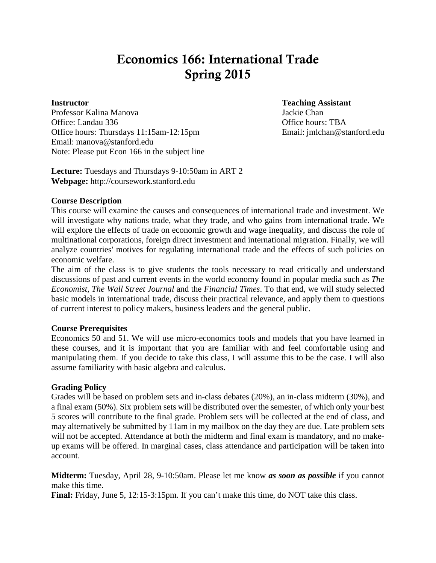# Economics 166: International Trade Spring 2015

Professor Kalina Manova Jackie Chan Office: Landau 336 **Office** hours: TBA Office hours: Thursdays 11:15am-12:15pm Email: jmlchan@stanford.edu Email: manova@stanford.edu Note: Please put Econ 166 in the subject line

**Instructor Teaching Assistant**

**Lecture:** Tuesdays and Thursdays 9-10:50am in ART 2 **Webpage:** http://coursework.stanford.edu

#### **Course Description**

This course will examine the causes and consequences of international trade and investment. We will investigate why nations trade, what they trade, and who gains from international trade. We will explore the effects of trade on economic growth and wage inequality, and discuss the role of multinational corporations, foreign direct investment and international migration. Finally, we will analyze countries' motives for regulating international trade and the effects of such policies on economic welfare.

The aim of the class is to give students the tools necessary to read critically and understand discussions of past and current events in the world economy found in popular media such as *The Economist*, *The Wall Street Journal* and the *Financial Times*. To that end, we will study selected basic models in international trade, discuss their practical relevance, and apply them to questions of current interest to policy makers, business leaders and the general public.

#### **Course Prerequisites**

Economics 50 and 51. We will use micro-economics tools and models that you have learned in these courses, and it is important that you are familiar with and feel comfortable using and manipulating them. If you decide to take this class, I will assume this to be the case. I will also assume familiarity with basic algebra and calculus.

#### **Grading Policy**

Grades will be based on problem sets and in-class debates (20%), an in-class midterm (30%), and a final exam (50%). Six problem sets will be distributed over the semester, of which only your best 5 scores will contribute to the final grade. Problem sets will be collected at the end of class, and may alternatively be submitted by 11am in my mailbox on the day they are due. Late problem sets will not be accepted. Attendance at both the midterm and final exam is mandatory, and no makeup exams will be offered. In marginal cases, class attendance and participation will be taken into account.

**Midterm:** Tuesday, April 28, 9-10:50am. Please let me know *as soon as possible* if you cannot make this time.

Final: Friday, June 5, 12:15-3:15pm. If you can't make this time, do NOT take this class.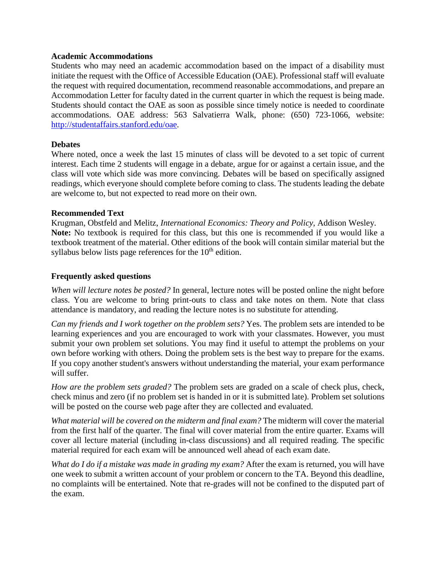#### **Academic Accommodations**

Students who may need an academic accommodation based on the impact of a disability must initiate the request with the Office of Accessible Education (OAE). Professional staff will evaluate the request with required documentation, recommend reasonable accommodations, and prepare an Accommodation Letter for faculty dated in the current quarter in which the request is being made. Students should contact the OAE as soon as possible since timely notice is needed to coordinate accommodations. OAE address: 563 Salvatierra Walk, phone: (650) 723-1066, website: [http://studentaffairs.stanford.edu/oae.](http://studentaffairs.stanford.edu/oae)

#### **Debates**

Where noted, once a week the last 15 minutes of class will be devoted to a set topic of current interest. Each time 2 students will engage in a debate, argue for or against a certain issue, and the class will vote which side was more convincing. Debates will be based on specifically assigned readings, which everyone should complete before coming to class. The students leading the debate are welcome to, but not expected to read more on their own.

#### **Recommended Text**

Krugman, Obstfeld and Melitz, *International Economics: Theory and Policy*, Addison Wesley. **Note:** No textbook is required for this class, but this one is recommended if you would like a textbook treatment of the material. Other editions of the book will contain similar material but the syllabus below lists page references for the  $10<sup>th</sup>$  edition.

#### **Frequently asked questions**

*When will lecture notes be posted?* In general, lecture notes will be posted online the night before class. You are welcome to bring print-outs to class and take notes on them. Note that class attendance is mandatory, and reading the lecture notes is no substitute for attending.

*Can my friends and I work together on the problem sets?* Yes. The problem sets are intended to be learning experiences and you are encouraged to work with your classmates. However, you must submit your own problem set solutions. You may find it useful to attempt the problems on your own before working with others. Doing the problem sets is the best way to prepare for the exams. If you copy another student's answers without understanding the material, your exam performance will suffer.

*How are the problem sets graded?* The problem sets are graded on a scale of check plus, check, check minus and zero (if no problem set is handed in or it is submitted late). Problem set solutions will be posted on the course web page after they are collected and evaluated.

*What material will be covered on the midterm and final exam?* The midterm will cover the material from the first half of the quarter. The final will cover material from the entire quarter. Exams will cover all lecture material (including in-class discussions) and all required reading. The specific material required for each exam will be announced well ahead of each exam date.

*What do I do if a mistake was made in grading my exam?* After the exam is returned, you will have one week to submit a written account of your problem or concern to the TA. Beyond this deadline, no complaints will be entertained. Note that re-grades will not be confined to the disputed part of the exam.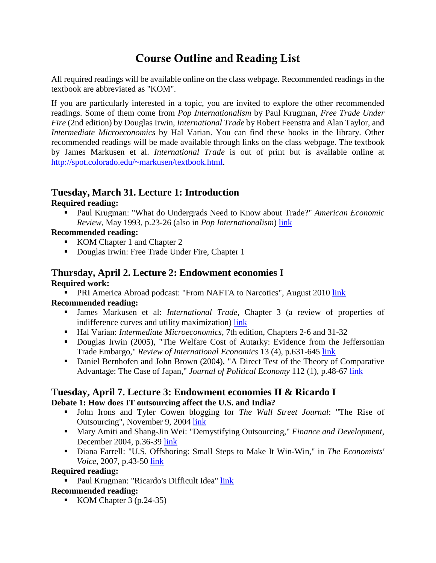# Course Outline and Reading List

All required readings will be available online on the class webpage. Recommended readings in the textbook are abbreviated as "KOM".

If you are particularly interested in a topic, you are invited to explore the other recommended readings. Some of them come from *Pop Internationalism* by Paul Krugman, *Free Trade Under Fire* (2nd edition) by Douglas Irwin, *International Trade* by Robert Feenstra and Alan Taylor, and *Intermediate Microeconomics* by Hal Varian. You can find these books in the library. Other recommended readings will be made available through links on the class webpage. The textbook by James Markusen et al. *International Trade* is out of print but is available online at [http://spot.colorado.edu/~markusen/textbook.html.](http://spot.colorado.edu/%7Emarkusen/textbook.html)

## **Tuesday, March 31. Lecture 1: Introduction**

## **Required reading:**

 Paul Krugman: "What do Undergrads Need to Know about Trade?" *American Economic Review*, May 1993, p.23-26 (also in *Pop Internationalism*) [link](https://coursework.stanford.edu/access/content/group/Sp15-ECON-166-01/Readings%20new/1.Krugman.pdf)

## **Recommended reading:**

- KOM Chapter 1 and Chapter 2
- Douglas Irwin: Free Trade Under Fire, Chapter 1

## **Thursday, April 2. Lecture 2: Endowment economies I Required work:**

**PRI America Abroad podcast: "From NAFTA to Narcotics", August 2010 [link](http://www.podcastdirectory.com/episodes/from-nafta-to-narcotics-the-cross-border-economy-14754840.html)** 

## **Recommended reading:**

- James Markusen et al: *International Trade*, Chapter 3 (a review of properties of indifference curves and utility maximization) [link](http://www.colorado.edu/Economics/courses/Markusen/textbook/mmkm1.pdf)
- Hal Varian: *Intermediate Microeconomics*, 7th edition, Chapters 2-6 and 31-32
- Douglas Irwin (2005), "The Welfare Cost of Autarky: Evidence from the Jeffersonian Trade Embargo," *Review of International Economics* 13 (4), p.631-645 [link](http://www.dartmouth.edu/%7Edirwin/docs/Embargo.pdf)
- Daniel Bernhofen and John Brown (2004), "A Direct Test of the Theory of Comparative Advantage: The Case of Japan," *Journal of Political Economy* 112 (1), p.48-67 [link](http://www.journals.uchicago.edu/doi/pdf/10.1086/379944)

## **Tuesday, April 7. Lecture 3: Endowment economies II & Ricardo I Debate 1: How does IT outsourcing affect the U.S. and India?**

- John Irons and Tyler Cowen blogging for *The Wall Street Journal*: "The Rise of Outsourcing", November 9, 2004 [link](http://online.wsj.com/article/0,,SB109968524579166285,00.html%23articleTabs%3Darticle)
- Mary Amiti and Shang-Jin Wei: "Demystifying Outsourcing," *Finance and Development*, December 2004, p.36-39 [link](http://www.imf.org/external/pubs/ft/fandd/2004/12/pdf/amiti.pdf)
- Diana Farrell: "U.S. Offshoring: Small Steps to Make It Win-Win," in *The Economists' Voice*, 2007, p.43-50 [link](https://coursework.stanford.edu/access/content/group/Sp15-ECON-166-01/Readings%20new/4.Farrell.pdf)

## **Required reading:**

**Paul Krugman: "Ricardo's Difficult Idea" [link](http://web.mit.edu/krugman/www/ricardo.htm)** 

## **Recommended reading:**

KOM Chapter  $3$  (p.24-35)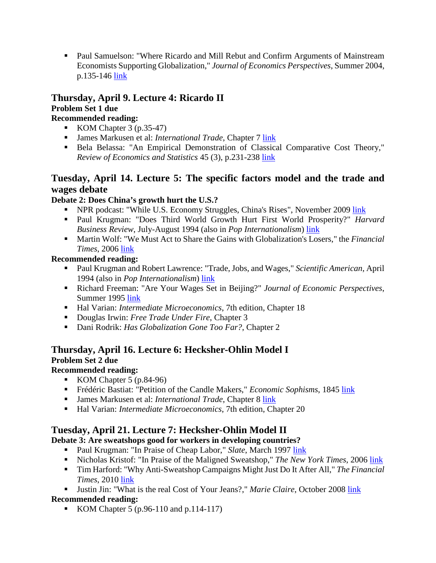Paul Samuelson: "Where Ricardo and Mill Rebut and Confirm Arguments of Mainstream Economists Supporting Globalization," *Journal of Economics Perspectives*, Summer 2004, p.135-146 [link](http://www.jstor.org/stable/10.2307/3216810?Search=yes&resultItemClick=true&searchText=Where&searchText=Ricardo&searchText=and&searchText=Mill&searchText=Rebut&searchText=and&searchText=Confirm&searchText=Arguments&searchText=of&searchText=Mainstream&searc)

### **Thursday, April 9. Lecture 4: Ricardo II Problem Set 1 due**

## **Recommended reading:**

- KOM Chapter  $3$  (p.35-47)
- James Markusen et al: *International Trade*, Chapter 7 [link](http://www.colorado.edu/Economics/courses/Markusen/textbook/mmkm2.pdf)
- Bela Belassa: "An Empirical Demonstration of Classical Comparative Cost Theory," *Review of Economics and Statistics* 45 (3), p.231-238 [link](https://coursework.stanford.edu/access/content/group/Sp15-ECON-166-01/Readings%20new/5.Belassa.pdf)

## **Tuesday, April 14. Lecture 5: The specific factors model and the trade and wages debate**

## **Debate 2: Does China's growth hurt the U.S.?**

- NPR podcast: "While U.S. Economy Struggles, China's Rises", November 2009 [link](http://www.npr.org/templates/story/story.php?storyId=120405700)
- Paul Krugman: "Does Third World Growth Hurt First World Prosperity?" *Harvard Business Review*, July-August 1994 (also in *Pop Internationalism*) [link](https://coursework.stanford.edu/access/content/group/Sp15-ECON-166-01/Readings%20new/6.Krugman.pdf)
- Martin Wolf: "We Must Act to Share the Gains with Globalization's Losers," the *Financial Times*, 2006 [link](http://proquest.umi.com/pqdweb?index=0&did=1123364911&SrchMode=1&sid=2&Fmt=3&VInst=PROD&VType=PQD&RQT=309&VName=PQD&TS=1157657235&clientId=17822%23fulltext)

## **Recommended reading:**

- Paul Krugman and Robert Lawrence: "Trade, Jobs, and Wages," *Scientific American*, April 1994 (also in *Pop Internationalism*) [link](http://www.nber.org/papers/w4478)
- Richard Freeman: "Are Your Wages Set in Beijing?" *Journal of Economic Perspectives*, Summer 1995 [link](https://coursework.stanford.edu/access/content/group/Sp15-ECON-166-01/Readings%20new/6.Freeman.pdf)
- Hal Varian: *Intermediate Microeconomics*, 7th edition, Chapter 18
- Douglas Irwin: *Free Trade Under Fire*, Chapter 3
- Dani Rodrik: *Has Globalization Gone Too Far?*, Chapter 2

## **Thursday, April 16. Lecture 6: Hecksher-Ohlin Model I Problem Set 2 due**

## **Recommended reading:**

- KOM Chapter 5  $(p.84-96)$
- **Frédéric Bastiat: "Petition of the Candle Makers,"** *Economic Sophisms***, 1845 [link](http://bastiat.org/en/petition.html)**
- James Markusen et al: *International Trade*, Chapter 8 [link](http://www.colorado.edu/Economics/courses/Markusen/textbook/mmkm2.pdf)
- Hal Varian: *Intermediate Microeconomics*, 7th edition, Chapter 20

## **Tuesday, April 21. Lecture 7: Hecksher-Ohlin Model II**

## **Debate 3: Are sweatshops good for workers in developing countries?**

- Paul Krugman: "In Praise of Cheap Labor," *Slate*, March 1997 [link](http://web.mit.edu/krugman/www/smokey.html)
- Nicholas Kristof: "In Praise of the Maligned Sweatshop," *The New York Times*, 2006 [link](http://select.nytimes.com/2006/06/06/opinion/06kristof.html?_r=1&n=Top%2fOpinion%2fEditorials%20and%20Op%2dEd%2fOp%2dEd%2fColumnists%2fNicholas%20D%20Kristof&oref=slogin)
- Tim Harford: "Why Anti-Sweatshop Campaigns Might Just Do It After All," *The Financial Times*, 2010 [link](http://www.ft.com/cms/s/2/da35c4f2-571e-11df-aaff-00144feab49a.html)
- Justin Jin: "What is the real Cost of Your Jeans?," *Marie Claire*, October 2008 [link](https://coursework.stanford.edu/access/content/group/Sp15-ECON-166-01/Readings%20new/8.MarieClaire.pdf)

## **Recommended reading:**

KOM Chapter 5 (p.96-110 and p.114-117)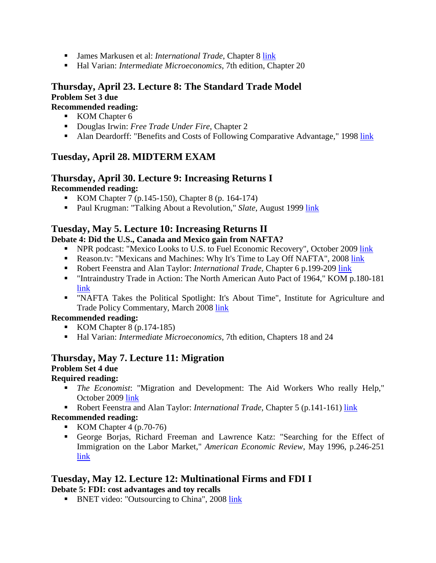- James Markusen et al: *International Trade*, Chapter 8 [link](http://www.colorado.edu/Economics/courses/Markusen/textbook/mmkm2.pdf)
- Hal Varian: *Intermediate Microeconomics*, 7th edition, Chapter 20

## **Thursday, April 23. Lecture 8: The Standard Trade Model Problem Set 3 due**

## **Recommended reading:**

- KOM Chapter 6
- Douglas Irwin: *Free Trade Under Fire*, Chapter 2
- Alan Deardorff: "Benefits and Costs of Following Comparative Advantage," 1998 [link](http://www.fordschool.umich.edu/rsie/workingpapers/Papers401-425/r423.PDF)

## **Tuesday, April 28. MIDTERM EXAM**

#### **Thursday, April 30. Lecture 9: Increasing Returns I Recommended reading:**

- KOM Chapter 7 (p.145-150), Chapter 8 (p. 164-174)
- **Paul Krugman: "Talking About a Revolution,"** *Slate***, August 1999 [link](http://www.slate.com/id/33334/)**

## **Tuesday, May 5. Lecture 10: Increasing Returns II**

### **Debate 4: Did the U.S., Canada and Mexico gain from NAFTA?**

- NPR podcast: "Mexico Looks to U.S. to Fuel Economic Recovery", October 2009 [link](http://www.npr.org/templates/story/story.php?storyId=114080350)
- Reason.tv: "Mexicans and Machines: Why It's Time to Lay Off NAFTA", 2008 [link](http://reason.tv/video/show/mexicans-and-machines)
- Robert Feenstra and Alan Taylor: *International Trade*, Chapter 6 p.199-209 [link](https://coursework.stanford.edu/access/content/group/Sp15-ECON-166-01/Readings%20new/11.Feenstra-Taylor%20199-209.pdf)
- "Intraindustry Trade in Action: The North American Auto Pact of 1964," KOM p.180-181 [link](https://coursework.stanford.edu/access/content/group/Sp15-ECON-166-01/Readings%20new/11.Krugman-Obstfeld.pdf)
- "NAFTA Takes the Political Spotlight: It's About Time", Institute for Agriculture and Trade Policy Commentary, March 2008 [link](http://www.iatp.org/documents/nafta-takes-the-political-spotlight-its-about-time)

### **Recommended reading:**

- KOM Chapter 8  $(p.174-185)$
- Hal Varian: *Intermediate Microeconomics*, 7th edition, Chapters 18 and 24

## **Thursday, May 7. Lecture 11: Migration**

### **Problem Set 4 due**

## **Required reading:**

- *The Economist*: "Migration and Development: The Aid Workers Who really Help," October 2009 [link](http://www.economist.com/node/14586906?story_id=14586906)
- Robert Feenstra and Alan Taylor: *International Trade*, Chapter 5 (p.141-161) [link](https://coursework.stanford.edu/access/content/group/Sp15-ECON-166-01/Readings%20new/12.14.Feenstra-Taylor%20141-180.pdf)

### **Recommended reading:**

- KOM Chapter  $4$  (p.70-76)
- George Borjas, Richard Freeman and Lawrence Katz: "Searching for the Effect of Immigration on the Labor Market," *American Economic Review*, May 1996, p.246-251 [link](http://www.nber.org/papers/w5454)

## **Tuesday, May 12. Lecture 12: Multinational Firms and FDI I**

**Debate 5: FDI: cost advantages and toy recalls**

**BNET** video: "Outsourcing to China", 2008 [link](http://www.bnet.com/videos/outsourcing-to-china/201743)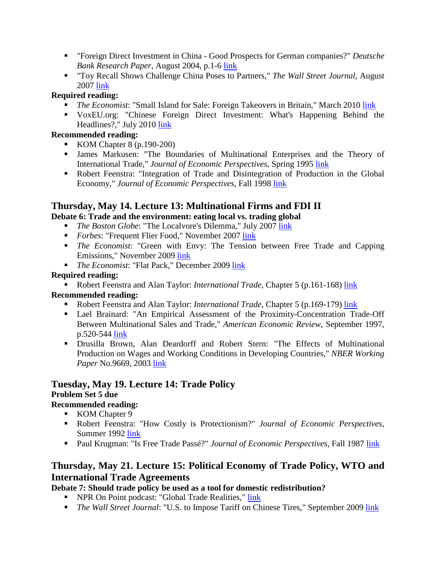- "Foreign Direct Investment in China Good Prospects for German companies?" *Deutsche Bank Research Paper*, August 2004, p.1-6 [link](http://www.dbresearch.com/PROD/DBR_INTERNET_EN-PROD/PROD0000000000196028.pdf)
- "Toy Recall Shows Challenge China Poses to Partners," *The Wall Street Journal*, August 2007 [link](http://online.wsj.com/article/SB118607762324386327.html)

## **Required reading:**

- **The Economist: "Small Island for Sale: Foreign Takeovers in Britain," March 2010 [link](http://www.economist.com/node/15769586?story_id=15769586)**
- VoxEU.org: "Chinese Foreign Direct Investment: What's Happening Behind the Headlines?," July 2010 [link](http://www.voxeu.org/index.php?q=node/5301)

## **Recommended reading:**

- KOM Chapter 8  $(p.190-200)$
- James Markusen: "The Boundaries of Multinational Enterprises and the Theory of International Trade," *Journal of Economic Perspectives*, Spring 1995 [link](https://coursework.stanford.edu/access/content/group/Sp15-ECON-166-01/Readings%20new/13.Markusen.pdf)
- Robert Feenstra: "Integration of Trade and Disintegration of Production in the Global Economy," *Journal of Economic Perspectives*, Fall 1998 [link](http://www.jstor.org/stable/10.2307/2646893?Search=yes&resultItemClick=true&searchText=%22Integration%20of%20Trade%20and%20Disintegration%20of%20Production%20in%20the%20Global%20Economy%22&searchUri=%2Faction%2FdoBasicSearch%3FQuery%3DIntegration%2Bof%2BTr)

## **Thursday, May 14. Lecture 13: Multinational Firms and FDI II**

## **Debate 6: Trade and the environment: eating local vs. trading global**

- *The Boston Globe*: "The Localvore's Dilemma," July 2007 [link](http://www.boston.com/news/globe/ideas/articles/2007/07/22/the_localvores_dilemma/)
- **Forbes: "Frequent Flier Food," November 2007 [link](http://www.forbes.com/2007/11/11/economics-food-local-forbeslife-food07-cx_th_1113local.html)**
- *The Economist*: "Green with Envy: The Tension between Free Trade and Capping Emissions," November 2009 [link](http://www.economist.com/node/14926073)
- **The Economist: "Flat Pack," December 2009 [link](http://www.economist.com/node/15174518)**

## **Required reading:**

**Robert Feenstra and Alan Taylor:** *International Trade*, Chapter 5 (p.161-168) [link](https://coursework.stanford.edu/access/content/group/Sp15-ECON-166-01/Readings%20new/12.14.Feenstra-Taylor%20141-180.pdf) **Recommended reading:**

- Robert Feenstra and Alan Taylor: *International Trade*, Chapter 5 (p.169-179) [link](https://coursework.stanford.edu/access/content/group/Sp15-ECON-166-01/Readings%20new/12.14.Feenstra-Taylor%20141-180.pdf)
- Lael Brainard: "An Empirical Assessment of the Proximity-Concentration Trade-Off Between Multinational Sales and Trade," *American Economic Review*, September 1997, p.520-544 [link](https://coursework.stanford.edu/access/content/group/Sp15-ECON-166-01/Readings%20new/14.Brainard.pdf)
- Drusilla Brown, Alan Deardorff and Robert Stern: "The Effects of Multinational Production on Wages and Working Conditions in Developing Countries," *NBER Working Paper* No.9669, 2003 [link](http://www.nber.org/papers/w9669)

## **Tuesday, May 19. Lecture 14: Trade Policy Problem Set 5 due**

## **Recommended reading:**

- KOM Chapter 9
- Robert Feenstra: "How Costly is Protectionism?" *Journal of Economic Perspectives*, Summer 1992 [link](https://coursework.stanford.edu/access/content/group/Sp15-ECON-166-01/Readings%20new/15.Feenstra.pdf)
- **Paul Krugman: "Is Free Trade Passé?"** *Journal of Economic Perspectives***, Fall 1987 [link](https://coursework.stanford.edu/access/content/group/Sp15-ECON-166-01/Readings%20new/15.Krugman.pdf)**

## **Thursday, May 21. Lecture 15: Political Economy of Trade Policy, WTO and International Trade Agreements**

## **Debate 7: Should trade policy be used as a tool for domestic redistribution?**

- **NPR On Point podcast: "Global Trade Realities," [link](http://onpoint.wbur.org/2009/09/24/global-trade-realities)**
- **The Wall Street Journal: "U.S. to Impose Tariff on Chinese Tires," September 2009 link**